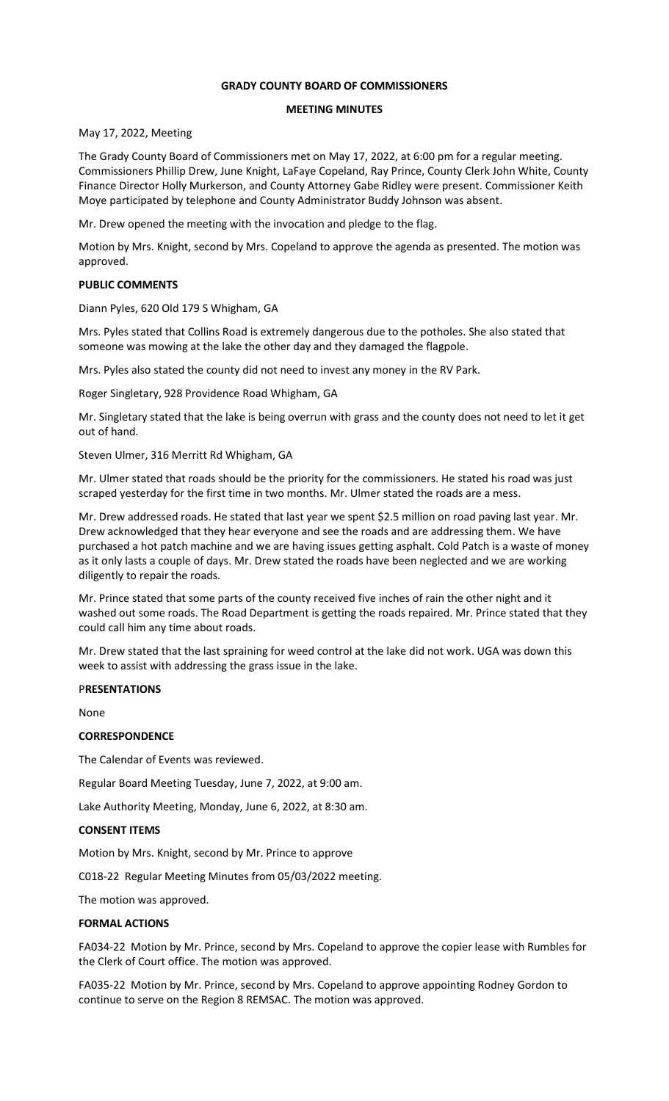# **GRADY COUNTY BOARD OF COMMISSIONERS**

## **MEETING MINUTES**

May 17, 2022, Meeting

The Grady County Board of Commissioners met on May 17, 2022, at 6:00 pm for a regular meeting. Commissioners Phillip Drew, June Knight, LaFaye Copeland, Ray Prince, County Clerk John White, County Finance Director Holly Murkerson, and County Attorney Gabe Ridley were present. Commissioner Keith Moye participated by telephone and County Administrator Buddy Johnson was absent.

Mr. Drew opened the meeting with the invocation and pledge to the flag.

Motion by Mrs. Knight, second by Mrs. Copeland to approve the agenda as presented. The motion was approved.

## **PUBLIC COMMENTS**

Diann Pyles, 620 Old 179 S Whigham, GA

Mrs. Pyles stated that Collins Road is extremely dangerous due to the potholes. She also stated that someone was mowing at the lake the other day and they damaged the flagpole.

Mrs. Pyles also stated the county did not need to invest any money in the RV Park.

Roger Singletary, 928 Providence Road Whigham, GA

Mr. Singletary stated that the lake is being overrun with grass and the county does not need to let it get out of hand.

Steven Ulmer, 316 Merritt Rd Whigham, GA

Mr. Ulmer stated that roads should be the priority for the commissioners. He stated his road was just scraped yesterday for the first time in two months. Mr. Ulmer stated the roads are a mess.

Mr. Drew addressed roads. He stated that last year we spent \$2.5 million on road paving last year. Mr. Drew acknowledged that they hear everyone and see the roads and are addressing them. We have purchased a hot patch machine and we are having issues getting asphalt. Cold Patch is a waste of money as it only lasts a couple of days. Mr. Drew stated the roads have been neglected and we are working diligently to repair the roads.

Mr. Prince stated that some parts of the county received five inches of rain the other night and it washed out some roads. The Road Department is getting the roads repaired. Mr. Prince stated that they could call him any time about roads.

Mr. Drew stated that the last spraining for weed control at the lake did not work. UGA was down this week to assist with addressing the grass issue in the lake.

#### P**RESENTATIONS**

None

## **CORRESPONDENCE**

The Calendar of Events was reviewed.

Regular Board Meeting Tuesday, June 7, 2022, at 9:00 am.

Lake Authority Meeting, Monday, June 6, 2022, at 8:30 am.

### **CONSENT ITEMS**

Motion by Mrs. Knight, second by Mr. Prince to approve

C018-22 Regular Meeting Minutes from 05/03/2022 meeting.

The motion was approved.

#### **FORMAL ACTIONS**

FA034-22 Motion by Mr. Prince, second by Mrs. Copeland to approve the copier lease with Rumbles for the Clerk of Court office. The motion was approved.

FA035-22 Motion by Mr. Prince, second by Mrs. Copeland to approve appointing Rodney Gordon to continue to serve on the Region 8 REMSAC. The motion was approved.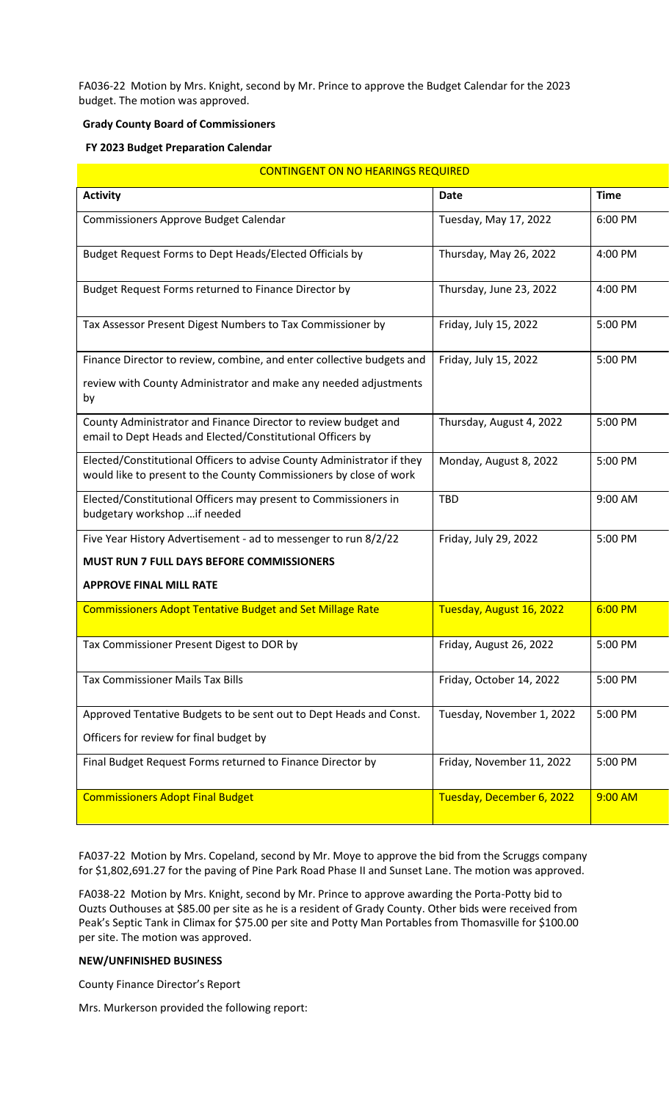FA036-22 Motion by Mrs. Knight, second by Mr. Prince to approve the Budget Calendar for the 2023 budget. The motion was approved.

# **Grady County Board of Commissioners**

# **FY 2023 Budget Preparation Calendar**

| <b>CONTINGENT ON NO HEARINGS REQUIRED</b>                                                                                                    |                           |             |  |  |  |
|----------------------------------------------------------------------------------------------------------------------------------------------|---------------------------|-------------|--|--|--|
| <b>Activity</b>                                                                                                                              | <b>Date</b>               | <b>Time</b> |  |  |  |
| Commissioners Approve Budget Calendar                                                                                                        | Tuesday, May 17, 2022     | 6:00 PM     |  |  |  |
| Budget Request Forms to Dept Heads/Elected Officials by                                                                                      | Thursday, May 26, 2022    | 4:00 PM     |  |  |  |
| Budget Request Forms returned to Finance Director by                                                                                         | Thursday, June 23, 2022   | 4:00 PM     |  |  |  |
| Tax Assessor Present Digest Numbers to Tax Commissioner by                                                                                   | Friday, July 15, 2022     | 5:00 PM     |  |  |  |
| Finance Director to review, combine, and enter collective budgets and                                                                        | Friday, July 15, 2022     | 5:00 PM     |  |  |  |
| review with County Administrator and make any needed adjustments<br>by                                                                       |                           |             |  |  |  |
| County Administrator and Finance Director to review budget and<br>email to Dept Heads and Elected/Constitutional Officers by                 | Thursday, August 4, 2022  | 5:00 PM     |  |  |  |
| Elected/Constitutional Officers to advise County Administrator if they<br>would like to present to the County Commissioners by close of work | Monday, August 8, 2022    | 5:00 PM     |  |  |  |
| Elected/Constitutional Officers may present to Commissioners in<br>budgetary workshop  if needed                                             | <b>TBD</b>                | 9:00 AM     |  |  |  |
| Five Year History Advertisement - ad to messenger to run 8/2/22                                                                              | Friday, July 29, 2022     | 5:00 PM     |  |  |  |
| <b>MUST RUN 7 FULL DAYS BEFORE COMMISSIONERS</b>                                                                                             |                           |             |  |  |  |
| <b>APPROVE FINAL MILL RATE</b>                                                                                                               |                           |             |  |  |  |
| <b>Commissioners Adopt Tentative Budget and Set Millage Rate</b>                                                                             | Tuesday, August 16, 2022  | 6:00 PM     |  |  |  |
| Tax Commissioner Present Digest to DOR by                                                                                                    | Friday, August 26, 2022   | 5:00 PM     |  |  |  |
| <b>Tax Commissioner Mails Tax Bills</b>                                                                                                      | Friday, October 14, 2022  | 5:00 PM     |  |  |  |
| Approved Tentative Budgets to be sent out to Dept Heads and Const.                                                                           | Tuesday, November 1, 2022 | 5:00 PM     |  |  |  |
| Officers for review for final budget by                                                                                                      |                           |             |  |  |  |
| Final Budget Request Forms returned to Finance Director by                                                                                   | Friday, November 11, 2022 | 5:00 PM     |  |  |  |
| <b>Commissioners Adopt Final Budget</b>                                                                                                      | Tuesday, December 6, 2022 | 9:00 AM     |  |  |  |

FA037-22 Motion by Mrs. Copeland, second by Mr. Moye to approve the bid from the Scruggs company for \$1,802,691.27 for the paving of Pine Park Road Phase II and Sunset Lane. The motion was approved.

FA038-22 Motion by Mrs. Knight, second by Mr. Prince to approve awarding the Porta-Potty bid to Ouzts Outhouses at \$85.00 per site as he is a resident of Grady County. Other bids were received from Peak's Septic Tank in Climax for \$75.00 per site and Potty Man Portables from Thomasville for \$100.00 per site. The motion was approved.

# **NEW/UNFINISHED BUSINESS**

County Finance Director's Report

Mrs. Murkerson provided the following report: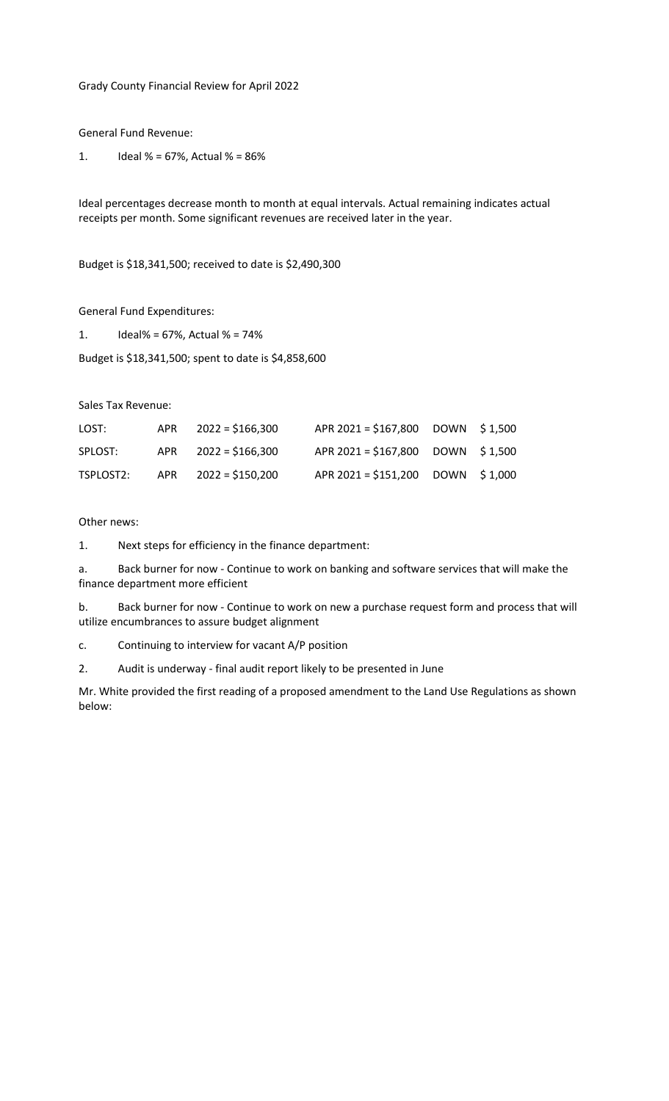Grady County Financial Review for April 2022

General Fund Revenue:

1. Ideal % = 67%, Actual % =  $86\%$ 

Ideal percentages decrease month to month at equal intervals. Actual remaining indicates actual receipts per month. Some significant revenues are received later in the year.

Budget is \$18,341,500; received to date is \$2,490,300

General Fund Expenditures:

1. Ideal% = 67%, Actual % = 74%

Budget is \$18,341,500; spent to date is \$4,858,600

Sales Tax Revenue:

| LOST:     | APR | 2022 = \$166,300        | APR 2021 = \$167,800 DOWN \$1,500 |  |
|-----------|-----|-------------------------|-----------------------------------|--|
| SPLOST:   |     | $APR$ $2022 = $166,300$ | APR 2021 = \$167,800 DOWN \$1,500 |  |
| TSPLOST2: |     | APR $2022 = $150,200$   | APR 2021 = \$151,200 DOWN \$1,000 |  |

Other news:

1. Next steps for efficiency in the finance department:

a. Back burner for now - Continue to work on banking and software services that will make the finance department more efficient

b. Back burner for now - Continue to work on new a purchase request form and process that will utilize encumbrances to assure budget alignment

c. Continuing to interview for vacant A/P position

2. Audit is underway - final audit report likely to be presented in June

Mr. White provided the first reading of a proposed amendment to the Land Use Regulations as shown below: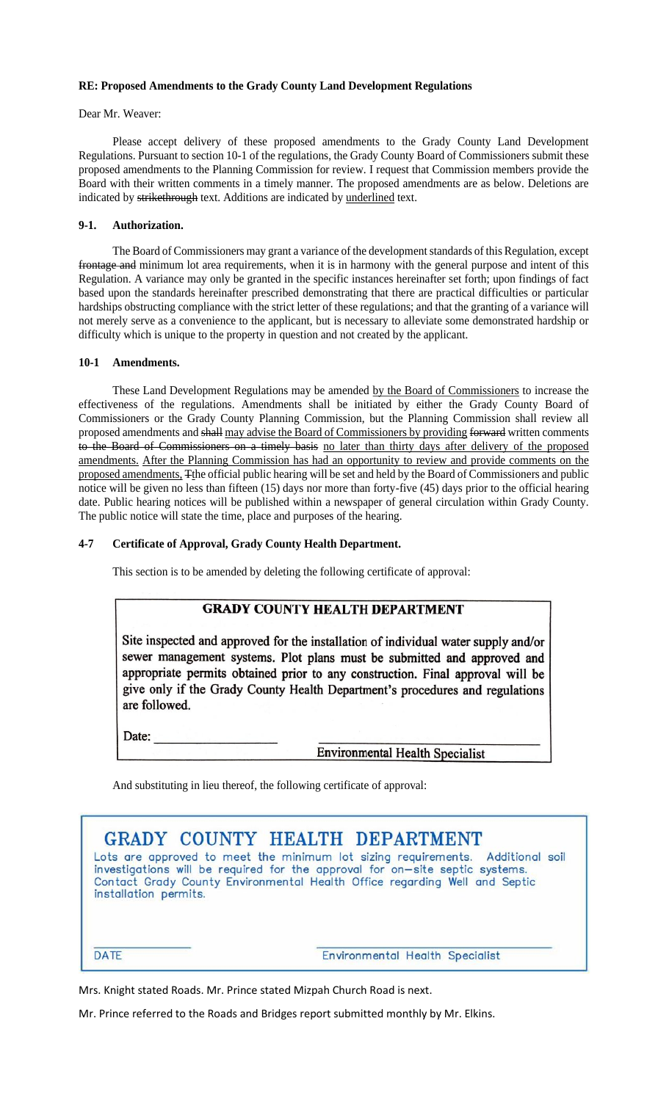# **RE: Proposed Amendments to the Grady County Land Development Regulations**

Dear Mr. Weaver:

Please accept delivery of these proposed amendments to the Grady County Land Development Regulations. Pursuant to section 10-1 of the regulations, the Grady County Board of Commissioners submit these proposed amendments to the Planning Commission for review. I request that Commission members provide the Board with their written comments in a timely manner. The proposed amendments are as below. Deletions are indicated by strikethrough text. Additions are indicated by underlined text.

## **9-1. Authorization.**

The Board of Commissioners may grant a variance of the development standards of this Regulation, except frontage and minimum lot area requirements, when it is in harmony with the general purpose and intent of this Regulation. A variance may only be granted in the specific instances hereinafter set forth; upon findings of fact based upon the standards hereinafter prescribed demonstrating that there are practical difficulties or particular hardships obstructing compliance with the strict letter of these regulations; and that the granting of a variance will not merely serve as a convenience to the applicant, but is necessary to alleviate some demonstrated hardship or difficulty which is unique to the property in question and not created by the applicant.

#### **10-1 Amendments.**

These Land Development Regulations may be amended by the Board of Commissioners to increase the effectiveness of the regulations. Amendments shall be initiated by either the Grady County Board of Commissioners or the Grady County Planning Commission, but the Planning Commission shall review all proposed amendments and shall may advise the Board of Commissioners by providing forward written comments to the Board of Commissioners on a timely basis no later than thirty days after delivery of the proposed amendments. After the Planning Commission has had an opportunity to review and provide comments on the proposed amendments, Tthe official public hearing will be set and held by the Board of Commissioners and public notice will be given no less than fifteen (15) days nor more than forty-five (45) days prior to the official hearing date. Public hearing notices will be published within a newspaper of general circulation within Grady County. The public notice will state the time, place and purposes of the hearing.

#### **4-7 Certificate of Approval, Grady County Health Department.**

This section is to be amended by deleting the following certificate of approval:

# **GRADY COUNTY HEALTH DEPARTMENT**

Site inspected and approved for the installation of individual water supply and/or sewer management systems. Plot plans must be submitted and approved and appropriate permits obtained prior to any construction. Final approval will be give only if the Grady County Health Department's procedures and regulations are followed.

Date:

**Environmental Health Specialist** 

And substituting in lieu thereof, the following certificate of approval:

| GRADY COUNTY HEALTH DEPARTMENT                                                                                                                                 |                                 |  |  |  |
|----------------------------------------------------------------------------------------------------------------------------------------------------------------|---------------------------------|--|--|--|
| Lots are approved to meet the minimum lot sizing requirements. Additional soil<br>investigations will be required for the approval for on-site septic systems. |                                 |  |  |  |
| Contact Grady County Environmental Health Office regarding Well and Septic<br>installation permits.                                                            |                                 |  |  |  |
|                                                                                                                                                                |                                 |  |  |  |
|                                                                                                                                                                |                                 |  |  |  |
| <b>DATE</b>                                                                                                                                                    | Environmental Health Specialist |  |  |  |

Mrs. Knight stated Roads. Mr. Prince stated Mizpah Church Road is next.

Mr. Prince referred to the Roads and Bridges report submitted monthly by Mr. Elkins.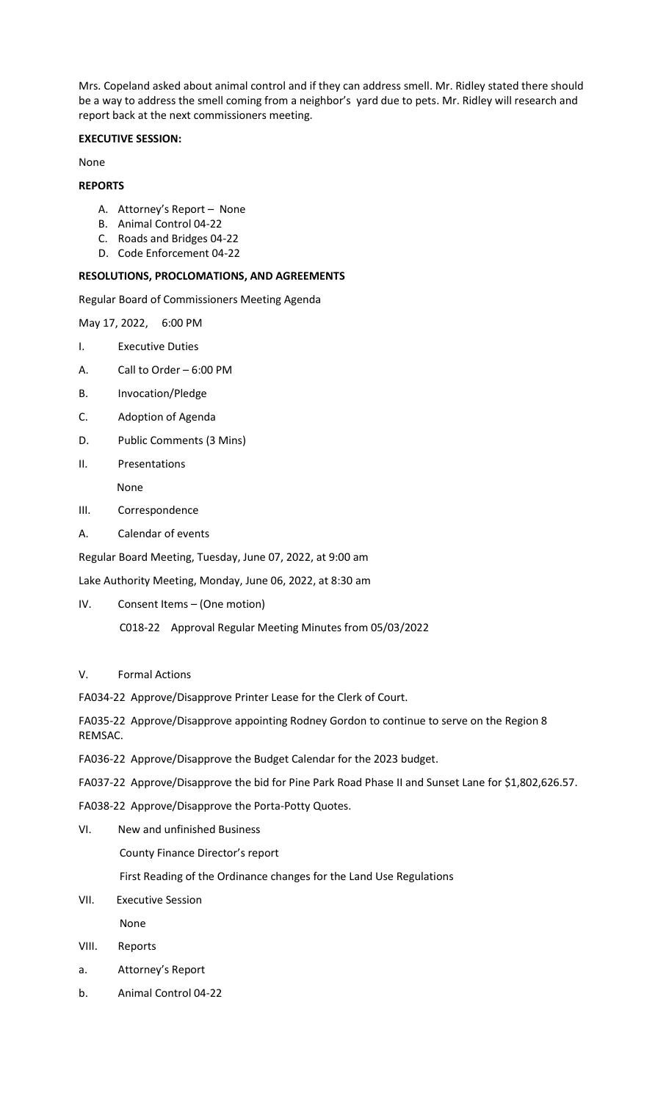Mrs. Copeland asked about animal control and if they can address smell. Mr. Ridley stated there should be a way to address the smell coming from a neighbor's yard due to pets. Mr. Ridley will research and report back at the next commissioners meeting.

# **EXECUTIVE SESSION:**

None

## **REPORTS**

- A. Attorney's Report None
- B. Animal Control 04-22
- C. Roads and Bridges 04-22
- D. Code Enforcement 04-22

## **RESOLUTIONS, PROCLOMATIONS, AND AGREEMENTS**

Regular Board of Commissioners Meeting Agenda

May 17, 2022, 6:00 PM

- I. Executive Duties
- A. Call to Order 6:00 PM
- B. Invocation/Pledge
- C. Adoption of Agenda
- D. Public Comments (3 Mins)
- II. Presentations

None

- III. Correspondence
- A. Calendar of events
- Regular Board Meeting, Tuesday, June 07, 2022, at 9:00 am

Lake Authority Meeting, Monday, June 06, 2022, at 8:30 am

- IV. Consent Items (One motion)
	- C018-22 Approval Regular Meeting Minutes from 05/03/2022

#### V. Formal Actions

FA034-22 Approve/Disapprove Printer Lease for the Clerk of Court.

FA035-22 Approve/Disapprove appointing Rodney Gordon to continue to serve on the Region 8 REMSAC.

- FA036-22 Approve/Disapprove the Budget Calendar for the 2023 budget.
- FA037-22 Approve/Disapprove the bid for Pine Park Road Phase II and Sunset Lane for \$1,802,626.57.
- FA038-22 Approve/Disapprove the Porta-Potty Quotes.
- VI. New and unfinished Business
	- County Finance Director's report

First Reading of the Ordinance changes for the Land Use Regulations

- VII. Executive Session None
- VIII. Reports
- a. Attorney's Report
- b. Animal Control 04-22